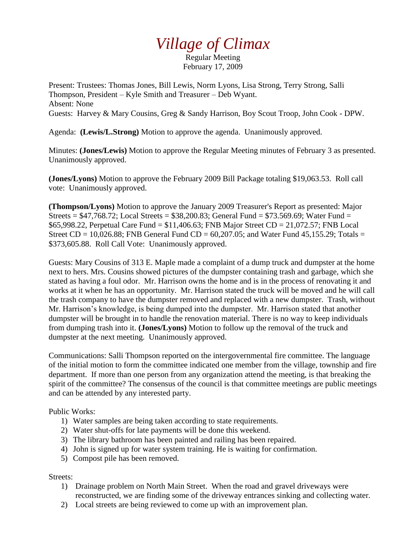## *Village of Climax*

Regular Meeting February 17, 2009

Present: Trustees: Thomas Jones, Bill Lewis, Norm Lyons, Lisa Strong, Terry Strong, Salli Thompson, President – Kyle Smith and Treasurer – Deb Wyant. Absent: None Guests: Harvey & Mary Cousins, Greg & Sandy Harrison, Boy Scout Troop, John Cook - DPW.

Agenda: **(Lewis/L.Strong)** Motion to approve the agenda. Unanimously approved.

Minutes: **(Jones/Lewis)** Motion to approve the Regular Meeting minutes of February 3 as presented. Unanimously approved.

**(Jones/Lyons)** Motion to approve the February 2009 Bill Package totaling \$19,063.53. Roll call vote: Unanimously approved.

**(Thompson/Lyons)** Motion to approve the January 2009 Treasurer's Report as presented: Major Streets =  $$47,768.72$ ; Local Streets =  $$38,200.83$ ; General Fund =  $$73.569.69$ ; Water Fund = \$65,998.22, Perpetual Care Fund = \$11,406.63; FNB Major Street CD = 21,072.57; FNB Local Street CD =  $10,026.88$ ; FNB General Fund CD =  $60,207.05$ ; and Water Fund 45,155.29; Totals = \$373,605.88. Roll Call Vote: Unanimously approved.

Guests: Mary Cousins of 313 E. Maple made a complaint of a dump truck and dumpster at the home next to hers. Mrs. Cousins showed pictures of the dumpster containing trash and garbage, which she stated as having a foul odor. Mr. Harrison owns the home and is in the process of renovating it and works at it when he has an opportunity. Mr. Harrison stated the truck will be moved and he will call the trash company to have the dumpster removed and replaced with a new dumpster. Trash, without Mr. Harrison's knowledge, is being dumped into the dumpster. Mr. Harrison stated that another dumpster will be brought in to handle the renovation material. There is no way to keep individuals from dumping trash into it. **(Jones/Lyons)** Motion to follow up the removal of the truck and dumpster at the next meeting. Unanimously approved.

Communications: Salli Thompson reported on the intergovernmental fire committee. The language of the initial motion to form the committee indicated one member from the village, township and fire department. If more than one person from any organization attend the meeting, is that breaking the spirit of the committee? The consensus of the council is that committee meetings are public meetings and can be attended by any interested party.

Public Works:

- 1) Water samples are being taken according to state requirements.
- 2) Water shut-offs for late payments will be done this weekend.
- 3) The library bathroom has been painted and railing has been repaired.
- 4) John is signed up for water system training. He is waiting for confirmation.
- 5) Compost pile has been removed.

Streets:

- 1) Drainage problem on North Main Street. When the road and gravel driveways were reconstructed, we are finding some of the driveway entrances sinking and collecting water.
- 2) Local streets are being reviewed to come up with an improvement plan.